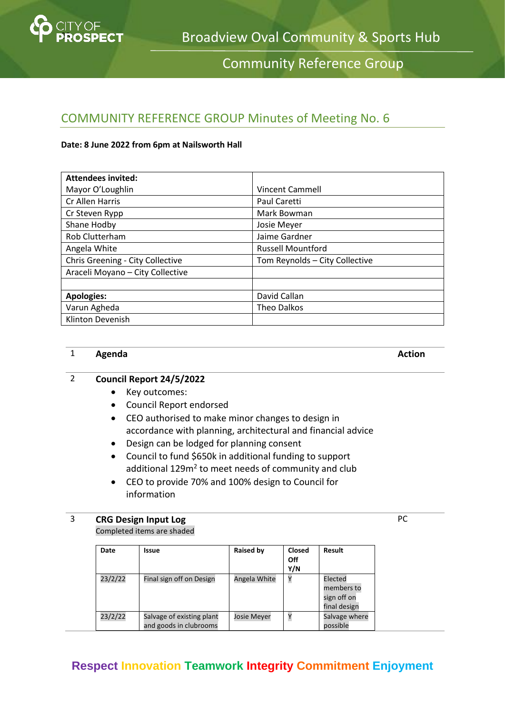

Community Reference Group

## COMMUNITY REFERENCE GROUP Minutes of Meeting No. 6

### **Date: 8 June 2022 from 6pm at Nailsworth Hall**

| <b>Attendees invited:</b>        |                                |
|----------------------------------|--------------------------------|
| Mayor O'Loughlin                 | <b>Vincent Cammell</b>         |
| Cr Allen Harris                  | Paul Caretti                   |
| Cr Steven Rypp                   | Mark Bowman                    |
| Shane Hodby                      | Josie Meyer                    |
| Rob Clutterham                   | Jaime Gardner                  |
| Angela White                     | <b>Russell Mountford</b>       |
| Chris Greening - City Collective | Tom Reynolds - City Collective |
| Araceli Moyano - City Collective |                                |
|                                  |                                |
| <b>Apologies:</b>                | David Callan                   |
| Varun Agheda                     | <b>Theo Dalkos</b>             |
| Klinton Devenish                 |                                |

### 1 **Agenda Action**

### 2 **Council Report 24/5/2022**

- Key outcomes:
- Council Report endorsed
- CEO authorised to make minor changes to design in accordance with planning, architectural and financial advice
- Design can be lodged for planning consent
- Council to fund \$650k in additional funding to support additional 129m<sup>2</sup> to meet needs of community and club
- CEO to provide 70% and 100% design to Council for information

### 3 **CRG Design Input Log**

Completed items are shaded

| Date    | Issue                                               | Raised by          | <b>Closed</b><br>Off<br>Y/N | Result                                               |
|---------|-----------------------------------------------------|--------------------|-----------------------------|------------------------------------------------------|
| 23/2/22 | Final sign off on Design                            | Angela White       | Υ                           | Elected<br>members to<br>sign off on<br>final design |
| 23/2/22 | Salvage of existing plant<br>and goods in clubrooms | <b>Josie Meyer</b> |                             | Salvage where<br>possible                            |

### **Respect Innovation Teamwork Integrity Commitment Enjoyment**

PC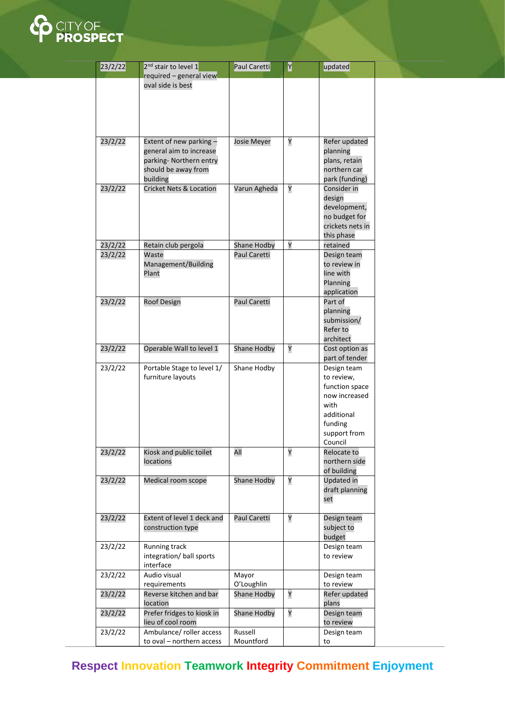

| required – general view<br>oval side is best<br>23/2/22<br>Extent of new parking -<br>Y<br>Refer updated<br>Josie Meyer<br>general aim to increase<br>planning<br>parking- Northern entry<br>plans, retain<br>northern car<br>should be away from<br>building<br>park (funding)<br>23/2/22<br>Cricket Nets & Location<br>Varun Agheda<br>Υ<br>Consider in<br>design<br>development,<br>no budget for<br>crickets nets in<br>this phase<br>Υ<br>23/2/22<br>Shane Hodby<br>Retain club pergola<br>retained<br>23/2/22<br>Paul Caretti<br>Waste<br>Design team<br>Management/Building<br>to review in<br>line with<br>Plant<br>Planning<br>application<br>Part of<br>23/2/22<br><b>Roof Design</b><br>Paul Caretti<br>planning<br>submission/<br>Refer to<br>architect<br>23/2/22<br>Operable Wall to level 1<br>Shane Hodby<br>Υ<br>Cost option as<br>part of tender<br>23/2/22<br>Portable Stage to level 1/<br>Shane Hodby<br>Design team<br>furniture layouts<br>to review,<br>function space<br>now increased<br>with<br>additional<br>funding<br>support from<br>Council<br>Υ<br>Kiosk and public toilet<br>23/2/22<br>All<br>Relocate to<br>northern side<br>locations<br>of building<br>Υ<br>23/2/22<br>Shane Hodby<br>Updated in<br>Medical room scope<br>draft planning<br>set<br>Y<br>23/2/22<br>Extent of level 1 deck and<br>Paul Caretti<br>Design team<br>construction type<br>subject to<br>budget<br>Running track<br>23/2/22<br>Design team<br>integration/ ball sports<br>to review<br>interface<br>23/2/22<br>Audio visual<br>Mayor<br>Design team<br>O'Loughlin<br>to review<br>requirements<br>Υ<br>23/2/22<br>Reverse kitchen and bar<br>Shane Hodby<br>Refer updated<br>location<br>plans<br>Prefer fridges to kiosk in<br>Υ<br>23/2/22<br>Shane Hodby<br>Design team<br>lieu of cool room<br>to review<br>Russell<br>23/2/22<br>Ambulance/ roller access<br>Design team<br>Mountford<br>to oval - northern access<br>to | 23/2/22 | 2 <sup>nd</sup> stair to level 1 | Paul Caretti | Y | updated |  |
|-----------------------------------------------------------------------------------------------------------------------------------------------------------------------------------------------------------------------------------------------------------------------------------------------------------------------------------------------------------------------------------------------------------------------------------------------------------------------------------------------------------------------------------------------------------------------------------------------------------------------------------------------------------------------------------------------------------------------------------------------------------------------------------------------------------------------------------------------------------------------------------------------------------------------------------------------------------------------------------------------------------------------------------------------------------------------------------------------------------------------------------------------------------------------------------------------------------------------------------------------------------------------------------------------------------------------------------------------------------------------------------------------------------------------------------------------------------------------------------------------------------------------------------------------------------------------------------------------------------------------------------------------------------------------------------------------------------------------------------------------------------------------------------------------------------------------------------------------------------------------------------------------------------------------------------------------|---------|----------------------------------|--------------|---|---------|--|
|                                                                                                                                                                                                                                                                                                                                                                                                                                                                                                                                                                                                                                                                                                                                                                                                                                                                                                                                                                                                                                                                                                                                                                                                                                                                                                                                                                                                                                                                                                                                                                                                                                                                                                                                                                                                                                                                                                                                               |         |                                  |              |   |         |  |
|                                                                                                                                                                                                                                                                                                                                                                                                                                                                                                                                                                                                                                                                                                                                                                                                                                                                                                                                                                                                                                                                                                                                                                                                                                                                                                                                                                                                                                                                                                                                                                                                                                                                                                                                                                                                                                                                                                                                               |         |                                  |              |   |         |  |
|                                                                                                                                                                                                                                                                                                                                                                                                                                                                                                                                                                                                                                                                                                                                                                                                                                                                                                                                                                                                                                                                                                                                                                                                                                                                                                                                                                                                                                                                                                                                                                                                                                                                                                                                                                                                                                                                                                                                               |         |                                  |              |   |         |  |
|                                                                                                                                                                                                                                                                                                                                                                                                                                                                                                                                                                                                                                                                                                                                                                                                                                                                                                                                                                                                                                                                                                                                                                                                                                                                                                                                                                                                                                                                                                                                                                                                                                                                                                                                                                                                                                                                                                                                               |         |                                  |              |   |         |  |
|                                                                                                                                                                                                                                                                                                                                                                                                                                                                                                                                                                                                                                                                                                                                                                                                                                                                                                                                                                                                                                                                                                                                                                                                                                                                                                                                                                                                                                                                                                                                                                                                                                                                                                                                                                                                                                                                                                                                               |         |                                  |              |   |         |  |
|                                                                                                                                                                                                                                                                                                                                                                                                                                                                                                                                                                                                                                                                                                                                                                                                                                                                                                                                                                                                                                                                                                                                                                                                                                                                                                                                                                                                                                                                                                                                                                                                                                                                                                                                                                                                                                                                                                                                               |         |                                  |              |   |         |  |
|                                                                                                                                                                                                                                                                                                                                                                                                                                                                                                                                                                                                                                                                                                                                                                                                                                                                                                                                                                                                                                                                                                                                                                                                                                                                                                                                                                                                                                                                                                                                                                                                                                                                                                                                                                                                                                                                                                                                               |         |                                  |              |   |         |  |
|                                                                                                                                                                                                                                                                                                                                                                                                                                                                                                                                                                                                                                                                                                                                                                                                                                                                                                                                                                                                                                                                                                                                                                                                                                                                                                                                                                                                                                                                                                                                                                                                                                                                                                                                                                                                                                                                                                                                               |         |                                  |              |   |         |  |
|                                                                                                                                                                                                                                                                                                                                                                                                                                                                                                                                                                                                                                                                                                                                                                                                                                                                                                                                                                                                                                                                                                                                                                                                                                                                                                                                                                                                                                                                                                                                                                                                                                                                                                                                                                                                                                                                                                                                               |         |                                  |              |   |         |  |
|                                                                                                                                                                                                                                                                                                                                                                                                                                                                                                                                                                                                                                                                                                                                                                                                                                                                                                                                                                                                                                                                                                                                                                                                                                                                                                                                                                                                                                                                                                                                                                                                                                                                                                                                                                                                                                                                                                                                               |         |                                  |              |   |         |  |
|                                                                                                                                                                                                                                                                                                                                                                                                                                                                                                                                                                                                                                                                                                                                                                                                                                                                                                                                                                                                                                                                                                                                                                                                                                                                                                                                                                                                                                                                                                                                                                                                                                                                                                                                                                                                                                                                                                                                               |         |                                  |              |   |         |  |
|                                                                                                                                                                                                                                                                                                                                                                                                                                                                                                                                                                                                                                                                                                                                                                                                                                                                                                                                                                                                                                                                                                                                                                                                                                                                                                                                                                                                                                                                                                                                                                                                                                                                                                                                                                                                                                                                                                                                               |         |                                  |              |   |         |  |
|                                                                                                                                                                                                                                                                                                                                                                                                                                                                                                                                                                                                                                                                                                                                                                                                                                                                                                                                                                                                                                                                                                                                                                                                                                                                                                                                                                                                                                                                                                                                                                                                                                                                                                                                                                                                                                                                                                                                               |         |                                  |              |   |         |  |
|                                                                                                                                                                                                                                                                                                                                                                                                                                                                                                                                                                                                                                                                                                                                                                                                                                                                                                                                                                                                                                                                                                                                                                                                                                                                                                                                                                                                                                                                                                                                                                                                                                                                                                                                                                                                                                                                                                                                               |         |                                  |              |   |         |  |
|                                                                                                                                                                                                                                                                                                                                                                                                                                                                                                                                                                                                                                                                                                                                                                                                                                                                                                                                                                                                                                                                                                                                                                                                                                                                                                                                                                                                                                                                                                                                                                                                                                                                                                                                                                                                                                                                                                                                               |         |                                  |              |   |         |  |
|                                                                                                                                                                                                                                                                                                                                                                                                                                                                                                                                                                                                                                                                                                                                                                                                                                                                                                                                                                                                                                                                                                                                                                                                                                                                                                                                                                                                                                                                                                                                                                                                                                                                                                                                                                                                                                                                                                                                               |         |                                  |              |   |         |  |
|                                                                                                                                                                                                                                                                                                                                                                                                                                                                                                                                                                                                                                                                                                                                                                                                                                                                                                                                                                                                                                                                                                                                                                                                                                                                                                                                                                                                                                                                                                                                                                                                                                                                                                                                                                                                                                                                                                                                               |         |                                  |              |   |         |  |
|                                                                                                                                                                                                                                                                                                                                                                                                                                                                                                                                                                                                                                                                                                                                                                                                                                                                                                                                                                                                                                                                                                                                                                                                                                                                                                                                                                                                                                                                                                                                                                                                                                                                                                                                                                                                                                                                                                                                               |         |                                  |              |   |         |  |
|                                                                                                                                                                                                                                                                                                                                                                                                                                                                                                                                                                                                                                                                                                                                                                                                                                                                                                                                                                                                                                                                                                                                                                                                                                                                                                                                                                                                                                                                                                                                                                                                                                                                                                                                                                                                                                                                                                                                               |         |                                  |              |   |         |  |
|                                                                                                                                                                                                                                                                                                                                                                                                                                                                                                                                                                                                                                                                                                                                                                                                                                                                                                                                                                                                                                                                                                                                                                                                                                                                                                                                                                                                                                                                                                                                                                                                                                                                                                                                                                                                                                                                                                                                               |         |                                  |              |   |         |  |
|                                                                                                                                                                                                                                                                                                                                                                                                                                                                                                                                                                                                                                                                                                                                                                                                                                                                                                                                                                                                                                                                                                                                                                                                                                                                                                                                                                                                                                                                                                                                                                                                                                                                                                                                                                                                                                                                                                                                               |         |                                  |              |   |         |  |
|                                                                                                                                                                                                                                                                                                                                                                                                                                                                                                                                                                                                                                                                                                                                                                                                                                                                                                                                                                                                                                                                                                                                                                                                                                                                                                                                                                                                                                                                                                                                                                                                                                                                                                                                                                                                                                                                                                                                               |         |                                  |              |   |         |  |
|                                                                                                                                                                                                                                                                                                                                                                                                                                                                                                                                                                                                                                                                                                                                                                                                                                                                                                                                                                                                                                                                                                                                                                                                                                                                                                                                                                                                                                                                                                                                                                                                                                                                                                                                                                                                                                                                                                                                               |         |                                  |              |   |         |  |
|                                                                                                                                                                                                                                                                                                                                                                                                                                                                                                                                                                                                                                                                                                                                                                                                                                                                                                                                                                                                                                                                                                                                                                                                                                                                                                                                                                                                                                                                                                                                                                                                                                                                                                                                                                                                                                                                                                                                               |         |                                  |              |   |         |  |
|                                                                                                                                                                                                                                                                                                                                                                                                                                                                                                                                                                                                                                                                                                                                                                                                                                                                                                                                                                                                                                                                                                                                                                                                                                                                                                                                                                                                                                                                                                                                                                                                                                                                                                                                                                                                                                                                                                                                               |         |                                  |              |   |         |  |
|                                                                                                                                                                                                                                                                                                                                                                                                                                                                                                                                                                                                                                                                                                                                                                                                                                                                                                                                                                                                                                                                                                                                                                                                                                                                                                                                                                                                                                                                                                                                                                                                                                                                                                                                                                                                                                                                                                                                               |         |                                  |              |   |         |  |
|                                                                                                                                                                                                                                                                                                                                                                                                                                                                                                                                                                                                                                                                                                                                                                                                                                                                                                                                                                                                                                                                                                                                                                                                                                                                                                                                                                                                                                                                                                                                                                                                                                                                                                                                                                                                                                                                                                                                               |         |                                  |              |   |         |  |
|                                                                                                                                                                                                                                                                                                                                                                                                                                                                                                                                                                                                                                                                                                                                                                                                                                                                                                                                                                                                                                                                                                                                                                                                                                                                                                                                                                                                                                                                                                                                                                                                                                                                                                                                                                                                                                                                                                                                               |         |                                  |              |   |         |  |
|                                                                                                                                                                                                                                                                                                                                                                                                                                                                                                                                                                                                                                                                                                                                                                                                                                                                                                                                                                                                                                                                                                                                                                                                                                                                                                                                                                                                                                                                                                                                                                                                                                                                                                                                                                                                                                                                                                                                               |         |                                  |              |   |         |  |
|                                                                                                                                                                                                                                                                                                                                                                                                                                                                                                                                                                                                                                                                                                                                                                                                                                                                                                                                                                                                                                                                                                                                                                                                                                                                                                                                                                                                                                                                                                                                                                                                                                                                                                                                                                                                                                                                                                                                               |         |                                  |              |   |         |  |
|                                                                                                                                                                                                                                                                                                                                                                                                                                                                                                                                                                                                                                                                                                                                                                                                                                                                                                                                                                                                                                                                                                                                                                                                                                                                                                                                                                                                                                                                                                                                                                                                                                                                                                                                                                                                                                                                                                                                               |         |                                  |              |   |         |  |
|                                                                                                                                                                                                                                                                                                                                                                                                                                                                                                                                                                                                                                                                                                                                                                                                                                                                                                                                                                                                                                                                                                                                                                                                                                                                                                                                                                                                                                                                                                                                                                                                                                                                                                                                                                                                                                                                                                                                               |         |                                  |              |   |         |  |
|                                                                                                                                                                                                                                                                                                                                                                                                                                                                                                                                                                                                                                                                                                                                                                                                                                                                                                                                                                                                                                                                                                                                                                                                                                                                                                                                                                                                                                                                                                                                                                                                                                                                                                                                                                                                                                                                                                                                               |         |                                  |              |   |         |  |
|                                                                                                                                                                                                                                                                                                                                                                                                                                                                                                                                                                                                                                                                                                                                                                                                                                                                                                                                                                                                                                                                                                                                                                                                                                                                                                                                                                                                                                                                                                                                                                                                                                                                                                                                                                                                                                                                                                                                               |         |                                  |              |   |         |  |
|                                                                                                                                                                                                                                                                                                                                                                                                                                                                                                                                                                                                                                                                                                                                                                                                                                                                                                                                                                                                                                                                                                                                                                                                                                                                                                                                                                                                                                                                                                                                                                                                                                                                                                                                                                                                                                                                                                                                               |         |                                  |              |   |         |  |
|                                                                                                                                                                                                                                                                                                                                                                                                                                                                                                                                                                                                                                                                                                                                                                                                                                                                                                                                                                                                                                                                                                                                                                                                                                                                                                                                                                                                                                                                                                                                                                                                                                                                                                                                                                                                                                                                                                                                               |         |                                  |              |   |         |  |
|                                                                                                                                                                                                                                                                                                                                                                                                                                                                                                                                                                                                                                                                                                                                                                                                                                                                                                                                                                                                                                                                                                                                                                                                                                                                                                                                                                                                                                                                                                                                                                                                                                                                                                                                                                                                                                                                                                                                               |         |                                  |              |   |         |  |
|                                                                                                                                                                                                                                                                                                                                                                                                                                                                                                                                                                                                                                                                                                                                                                                                                                                                                                                                                                                                                                                                                                                                                                                                                                                                                                                                                                                                                                                                                                                                                                                                                                                                                                                                                                                                                                                                                                                                               |         |                                  |              |   |         |  |
|                                                                                                                                                                                                                                                                                                                                                                                                                                                                                                                                                                                                                                                                                                                                                                                                                                                                                                                                                                                                                                                                                                                                                                                                                                                                                                                                                                                                                                                                                                                                                                                                                                                                                                                                                                                                                                                                                                                                               |         |                                  |              |   |         |  |
|                                                                                                                                                                                                                                                                                                                                                                                                                                                                                                                                                                                                                                                                                                                                                                                                                                                                                                                                                                                                                                                                                                                                                                                                                                                                                                                                                                                                                                                                                                                                                                                                                                                                                                                                                                                                                                                                                                                                               |         |                                  |              |   |         |  |
|                                                                                                                                                                                                                                                                                                                                                                                                                                                                                                                                                                                                                                                                                                                                                                                                                                                                                                                                                                                                                                                                                                                                                                                                                                                                                                                                                                                                                                                                                                                                                                                                                                                                                                                                                                                                                                                                                                                                               |         |                                  |              |   |         |  |
|                                                                                                                                                                                                                                                                                                                                                                                                                                                                                                                                                                                                                                                                                                                                                                                                                                                                                                                                                                                                                                                                                                                                                                                                                                                                                                                                                                                                                                                                                                                                                                                                                                                                                                                                                                                                                                                                                                                                               |         |                                  |              |   |         |  |
|                                                                                                                                                                                                                                                                                                                                                                                                                                                                                                                                                                                                                                                                                                                                                                                                                                                                                                                                                                                                                                                                                                                                                                                                                                                                                                                                                                                                                                                                                                                                                                                                                                                                                                                                                                                                                                                                                                                                               |         |                                  |              |   |         |  |
|                                                                                                                                                                                                                                                                                                                                                                                                                                                                                                                                                                                                                                                                                                                                                                                                                                                                                                                                                                                                                                                                                                                                                                                                                                                                                                                                                                                                                                                                                                                                                                                                                                                                                                                                                                                                                                                                                                                                               |         |                                  |              |   |         |  |
|                                                                                                                                                                                                                                                                                                                                                                                                                                                                                                                                                                                                                                                                                                                                                                                                                                                                                                                                                                                                                                                                                                                                                                                                                                                                                                                                                                                                                                                                                                                                                                                                                                                                                                                                                                                                                                                                                                                                               |         |                                  |              |   |         |  |
|                                                                                                                                                                                                                                                                                                                                                                                                                                                                                                                                                                                                                                                                                                                                                                                                                                                                                                                                                                                                                                                                                                                                                                                                                                                                                                                                                                                                                                                                                                                                                                                                                                                                                                                                                                                                                                                                                                                                               |         |                                  |              |   |         |  |
|                                                                                                                                                                                                                                                                                                                                                                                                                                                                                                                                                                                                                                                                                                                                                                                                                                                                                                                                                                                                                                                                                                                                                                                                                                                                                                                                                                                                                                                                                                                                                                                                                                                                                                                                                                                                                                                                                                                                               |         |                                  |              |   |         |  |
|                                                                                                                                                                                                                                                                                                                                                                                                                                                                                                                                                                                                                                                                                                                                                                                                                                                                                                                                                                                                                                                                                                                                                                                                                                                                                                                                                                                                                                                                                                                                                                                                                                                                                                                                                                                                                                                                                                                                               |         |                                  |              |   |         |  |
|                                                                                                                                                                                                                                                                                                                                                                                                                                                                                                                                                                                                                                                                                                                                                                                                                                                                                                                                                                                                                                                                                                                                                                                                                                                                                                                                                                                                                                                                                                                                                                                                                                                                                                                                                                                                                                                                                                                                               |         |                                  |              |   |         |  |
|                                                                                                                                                                                                                                                                                                                                                                                                                                                                                                                                                                                                                                                                                                                                                                                                                                                                                                                                                                                                                                                                                                                                                                                                                                                                                                                                                                                                                                                                                                                                                                                                                                                                                                                                                                                                                                                                                                                                               |         |                                  |              |   |         |  |
|                                                                                                                                                                                                                                                                                                                                                                                                                                                                                                                                                                                                                                                                                                                                                                                                                                                                                                                                                                                                                                                                                                                                                                                                                                                                                                                                                                                                                                                                                                                                                                                                                                                                                                                                                                                                                                                                                                                                               |         |                                  |              |   |         |  |
|                                                                                                                                                                                                                                                                                                                                                                                                                                                                                                                                                                                                                                                                                                                                                                                                                                                                                                                                                                                                                                                                                                                                                                                                                                                                                                                                                                                                                                                                                                                                                                                                                                                                                                                                                                                                                                                                                                                                               |         |                                  |              |   |         |  |
|                                                                                                                                                                                                                                                                                                                                                                                                                                                                                                                                                                                                                                                                                                                                                                                                                                                                                                                                                                                                                                                                                                                                                                                                                                                                                                                                                                                                                                                                                                                                                                                                                                                                                                                                                                                                                                                                                                                                               |         |                                  |              |   |         |  |
|                                                                                                                                                                                                                                                                                                                                                                                                                                                                                                                                                                                                                                                                                                                                                                                                                                                                                                                                                                                                                                                                                                                                                                                                                                                                                                                                                                                                                                                                                                                                                                                                                                                                                                                                                                                                                                                                                                                                               |         |                                  |              |   |         |  |
|                                                                                                                                                                                                                                                                                                                                                                                                                                                                                                                                                                                                                                                                                                                                                                                                                                                                                                                                                                                                                                                                                                                                                                                                                                                                                                                                                                                                                                                                                                                                                                                                                                                                                                                                                                                                                                                                                                                                               |         |                                  |              |   |         |  |
|                                                                                                                                                                                                                                                                                                                                                                                                                                                                                                                                                                                                                                                                                                                                                                                                                                                                                                                                                                                                                                                                                                                                                                                                                                                                                                                                                                                                                                                                                                                                                                                                                                                                                                                                                                                                                                                                                                                                               |         |                                  |              |   |         |  |
|                                                                                                                                                                                                                                                                                                                                                                                                                                                                                                                                                                                                                                                                                                                                                                                                                                                                                                                                                                                                                                                                                                                                                                                                                                                                                                                                                                                                                                                                                                                                                                                                                                                                                                                                                                                                                                                                                                                                               |         |                                  |              |   |         |  |
|                                                                                                                                                                                                                                                                                                                                                                                                                                                                                                                                                                                                                                                                                                                                                                                                                                                                                                                                                                                                                                                                                                                                                                                                                                                                                                                                                                                                                                                                                                                                                                                                                                                                                                                                                                                                                                                                                                                                               |         |                                  |              |   |         |  |
|                                                                                                                                                                                                                                                                                                                                                                                                                                                                                                                                                                                                                                                                                                                                                                                                                                                                                                                                                                                                                                                                                                                                                                                                                                                                                                                                                                                                                                                                                                                                                                                                                                                                                                                                                                                                                                                                                                                                               |         |                                  |              |   |         |  |

# **Respect Innovation Teamwork Integrity Commitment Enjoyment**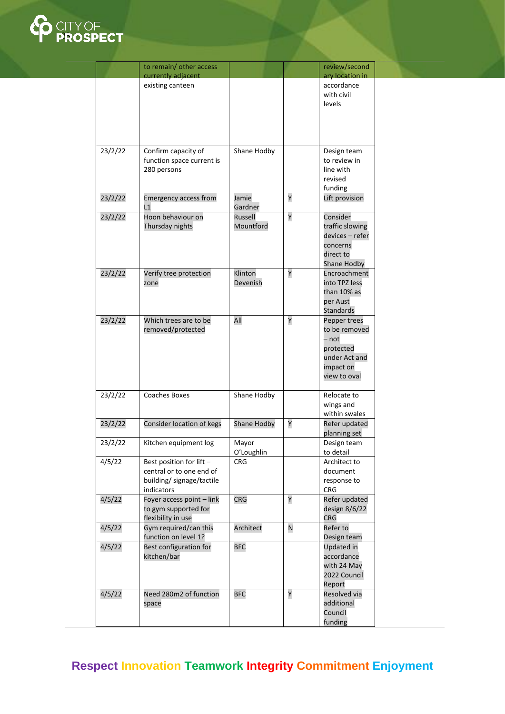

|         | to remain/ other access<br>currently adjacent                                                   |                      |   | review/second<br>ary location in                                                                  |
|---------|-------------------------------------------------------------------------------------------------|----------------------|---|---------------------------------------------------------------------------------------------------|
|         | existing canteen                                                                                |                      |   | accordance<br>with civil<br>levels                                                                |
| 23/2/22 | Confirm capacity of<br>function space current is<br>280 persons                                 | Shane Hodby          |   | Design team<br>to review in<br>line with<br>revised<br>funding                                    |
| 23/2/22 | <b>Emergency access from</b><br>$\overline{11}$                                                 | Jamie<br>Gardner     | Υ | Lift provision                                                                                    |
| 23/2/22 | Hoon behaviour on<br>Thursday nights                                                            | Russell<br>Mountford | Υ | Consider<br>traffic slowing<br>devices - refer<br>concerns<br>direct to<br><b>Shane Hodby</b>     |
| 23/2/22 | Verify tree protection<br>zone                                                                  | Klinton<br>Devenish  | Υ | Encroachment<br>into TPZ less<br>than 10% as<br>per Aust<br>Standards                             |
| 23/2/22 | Which trees are to be<br>removed/protected                                                      | All                  | Υ | Pepper trees<br>to be removed<br>– not<br>protected<br>under Act and<br>impact on<br>view to oval |
| 23/2/22 | <b>Coaches Boxes</b>                                                                            | Shane Hodby          |   | Relocate to<br>wings and<br>within swales                                                         |
| 23/2/22 | Consider location of kegs                                                                       | Shane Hodby          | Υ | Refer updated<br>planning set                                                                     |
| 23/2/22 | Kitchen equipment log                                                                           | Mayor<br>O'Loughlin  |   | Design team<br>to detail                                                                          |
| 4/5/22  | Best position for lift -<br>central or to one end of<br>building/ signage/tactile<br>indicators | <b>CRG</b>           |   | Architect to<br>document<br>response to<br><b>CRG</b>                                             |
| 4/5/22  | Foyer access point - link<br>to gym supported for<br>flexibility in use                         | <b>CRG</b>           | Υ | Refer updated<br>design 8/6/22<br><b>CRG</b>                                                      |
| 4/5/22  | Gym required/can this<br>function on level 1?                                                   | Architect            | N | Refer to<br>Design team                                                                           |
| 4/5/22  | Best configuration for<br>kitchen/bar                                                           | <b>BFC</b>           |   | Updated in<br>accordance<br>with 24 May<br>2022 Council<br>Report                                 |
| 4/5/22  | Need 280m2 of function<br>space                                                                 | <b>BFC</b>           | Υ | Resolved via<br>additional<br>Council<br>funding                                                  |

## **Respect Innovation Teamwork Integrity Commitment Enjoyment**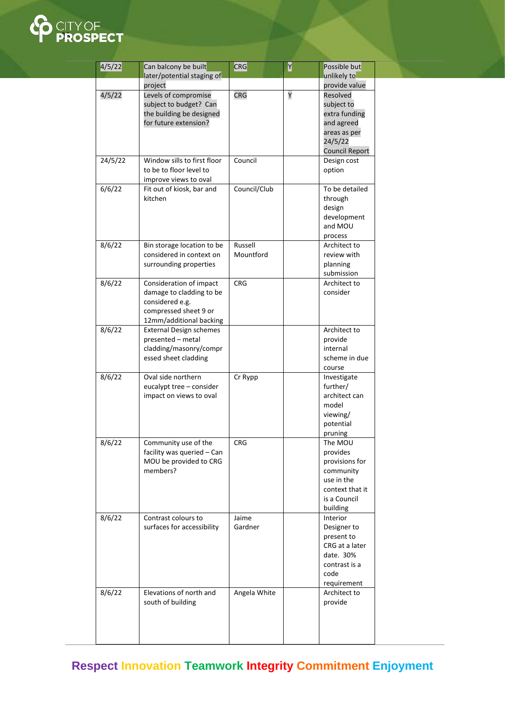

| 4/5/22  | Can balcony be built            | CRG          | Y | Possible but                    |
|---------|---------------------------------|--------------|---|---------------------------------|
|         | later/potential staging of      |              |   | unlikely to                     |
| 4/5/22  | project<br>Levels of compromise | <b>CRG</b>   | Υ | provide value<br>Resolved       |
|         | subject to budget? Can          |              |   | subject to                      |
|         | the building be designed        |              |   | extra funding                   |
|         | for future extension?           |              |   | and agreed                      |
|         |                                 |              |   | areas as per                    |
|         |                                 |              |   | 24/5/22                         |
|         |                                 |              |   | <b>Council Report</b>           |
| 24/5/22 | Window sills to first floor     | Council      |   | Design cost                     |
|         | to be to floor level to         |              |   | option                          |
|         | improve views to oval           |              |   |                                 |
| 6/6/22  | Fit out of kiosk, bar and       | Council/Club |   | To be detailed                  |
|         | kitchen                         |              |   | through                         |
|         |                                 |              |   | design                          |
|         |                                 |              |   | development<br>and MOU          |
|         |                                 |              |   |                                 |
| 8/6/22  | Bin storage location to be      | Russell      |   | process<br>Architect to         |
|         | considered in context on        | Mountford    |   | review with                     |
|         | surrounding properties          |              |   | planning                        |
|         |                                 |              |   | submission                      |
| 8/6/22  | Consideration of impact         | <b>CRG</b>   |   | Architect to                    |
|         | damage to cladding to be        |              |   | consider                        |
|         | considered e.g.                 |              |   |                                 |
|         | compressed sheet 9 or           |              |   |                                 |
|         | 12mm/additional backing         |              |   |                                 |
| 8/6/22  | <b>External Design schemes</b>  |              |   | Architect to                    |
|         | presented - metal               |              |   | provide                         |
|         | cladding/masonry/compr          |              |   | internal                        |
|         | essed sheet cladding            |              |   | scheme in due                   |
| 8/6/22  | Oval side northern              |              |   | course<br>Investigate           |
|         | eucalypt tree - consider        | Cr Rypp      |   | further/                        |
|         | impact on views to oval         |              |   | architect can                   |
|         |                                 |              |   | model                           |
|         |                                 |              |   | viewing/                        |
|         |                                 |              |   | potential                       |
|         |                                 |              |   | pruning                         |
| 8/6/22  | Community use of the            | <b>CRG</b>   |   | The MOU                         |
|         | facility was queried - Can      |              |   | provides                        |
|         | MOU be provided to CRG          |              |   | provisions for                  |
|         | members?                        |              |   | community                       |
|         |                                 |              |   | use in the                      |
|         |                                 |              |   | context that it<br>is a Council |
|         |                                 |              |   | building                        |
| 8/6/22  | Contrast colours to             | Jaime        |   | Interior                        |
|         | surfaces for accessibility      | Gardner      |   | Designer to                     |
|         |                                 |              |   | present to                      |
|         |                                 |              |   | CRG at a later                  |
|         |                                 |              |   | date. 30%                       |
|         |                                 |              |   | contrast is a                   |
|         |                                 |              |   | code                            |
|         |                                 |              |   | requirement                     |
| 8/6/22  | Elevations of north and         | Angela White |   | Architect to                    |
|         | south of building               |              |   | provide                         |
|         |                                 |              |   |                                 |
|         |                                 |              |   |                                 |
|         |                                 |              |   |                                 |

**Respect Innovation Teamwork Integrity Commitment Enjoyment**